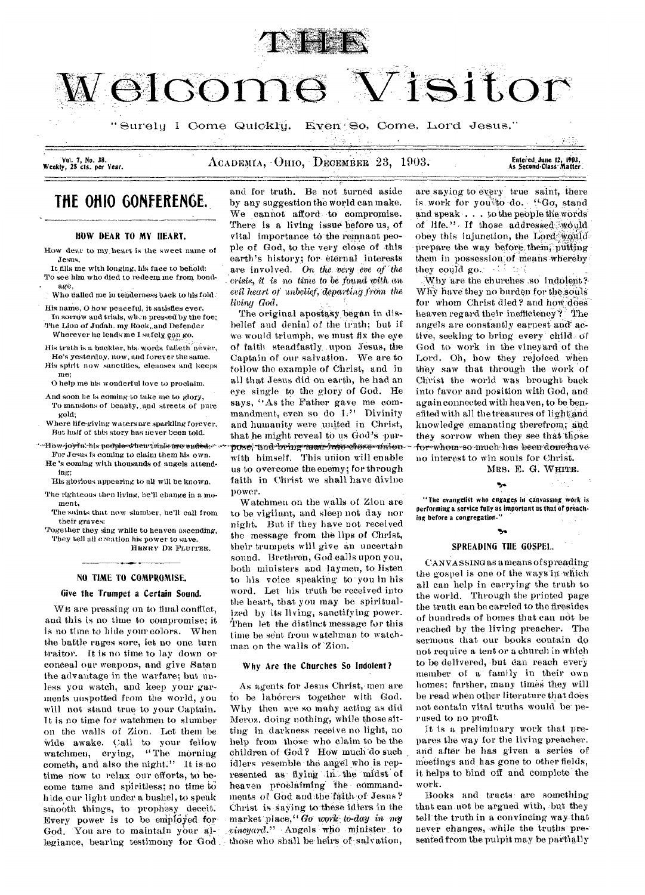

Welcome Visitor

" Surely I Come Quickly. Even So, Come, Lord Jesus."

Vol. 7, No. 38.<br>Weekly, 25 cts. per Year.

ACADEMIA, OHIO, DECEMBER 23, 1903. **Entered June 12, 1903.** 

Second•Class Matter.

# **THE OHIO GONFERENGE.**

## ROW DEAR TO MY HEART.

How dear to my heart is the sweet name of Jesus,

It fills me with longing, his face to behold: To see him who died to redeem me from bondage,

Who called me in tenderness back to his fold.

His name, 0 how peaceful, it satisfies ever, In sorrow and trials, when pressed by the foe; The Lion of Judah. my Rock, and Defender

Wherever he leads me I safely, can go.

His truth is a buckler, his words fatieth' never, He's yesterday, now, and forever the same. His spirit now sanctifies, cleanses and keeps me;

0 help me his wonderful love to proclaim.

- And soon he is coming to take me to glory, To mansions of beauty, and streets of pure gold;
- Where life-giving waters are sparkling forever, But half of this story has never been told.
- He's coming with thousands of angels attend-For Jesus is coming to claim them his own.

ing; His glorious appearing to all will be known.

The righteous then living, he'll change in a moment,

- The-saints that now slumber, he'll call from their graves:
- Together they sing while to heaven ascending, They tell all creation his power to save, HENRY DE FLUITER.

## NO TIME TO COMPROMISE.

## Give the Trumpet a Certain Sound.

WE are pressing on to final conflict, and this is no time to compromise; it is no time to hide your colors. When the battle rages sore, let no one turn traitor. It is no time to lay down or conceal our weapons, and give Satan the advantage in the warfare; but unless you watch, and keep your garments unspotted from the world, you will not stand true-to your Captain. It is no time for watchmen to slumber on the walls of Zion. Let them be Wide awake. Call to your fellow watchmen, crying, "The morning cometh, and also the night." It is no time now to relax our efforts, to become tame and spiritless; no time to \_hide our light under a bushel, to speak smooth things, to prophesy deceit. Every power is to be employed for-God. You are to maintain your allegiance, bearing testimony for God

and for truth. 13e not turned aside by any suggestion the World can make. We cannot afford to compromise. There is a living issue before us, of vital importance to the remnant people of God, to the very close of -this earth's history; for- eternal interests are involved. On *the, very eve of the crisis, it* is no time to be ,found, with an *evil heart of unbelief, departing frohn the Giving God.* \_

with himself. This union will enable us to overcome the enemy; for through faith in Christ we shall have divine power. The original apostasy began in disbelief and denial of the truth; but if we would triumph, we must fix the eye of faith steadfastly-. upon Jesus, the Captain of our salvation. We are to follow the example of Christ, and in all that Jesus did on earth, he had an eye single to the glory of God. He says, "As the Father gave me commandment, even so do L" Divinity and humanity were united in Christ, that he might reveal to us God's whowie 'nis people-wheu datie we ended www pose, "and "bring man frage-olese-whiten--- for whom-so much has been done have

> Watchmen on the walls of Zion are to be vigilant, and sleep not day nor night. But if they have not received the message from the lips of Christ, their trumpets will give an uncertain sound. Brethren, God-calls upon you, both ministers and laymen, to listen to his voice speaking to- you in his word. Let his truth be received into the heart, that you may be spiritualized by its living, sanctifying power. Then let the distinct message for this time be sent from watchman to watchman on the walls of 'Zion.

## Why Are the Churches So Indolent?

As agents for Jesus Christ, men are to be laborers together with God. Why then are so many acting as did Meroz, doing nothing, while those sitting in darkness receive no light, no help from those. who claim to be the children of God? HOW much 'do such idlers resemble the angel who is represented as flying in the midst of heaven proclaiming the commandments of God and the faith of Jesus? Christ is-saying to-these idlers in the market place." Go work to-day in my *.vineyard." •* Angels who minister to those who shall be heirs of salvation,

are saying to *every* true saint, there is work for you'do do. *fGo*, stand and  $\text{speak} \ldots$  to the people the words of life." If those addressed would obey this injunction, the Lord would prepare the way before them, putting them in possession of means whereby they could go.

:Why are the churches .so indoient?- Why have they no burden for the souls for whom Christ died? and how does heaven regard their inefficiency? The angels are constantly earnest and active, seeking to bring every child\_ of God to work in the vineyard of the Lord. Oh, how they rejoiced When they saw that through the Work of Christ the world was brought back into favor and position with God, and again connected with heaven, to be ben, efited with all the treasures of light and knowledge emanating therefrom; and they sorrow when they see that those no interest to win souls for Christ.

MRS. E. G. WHITE.

÷.,

"The evangelist who engages in canvassing work is performing a service fully as important as that of preaching before a congregation."

•5\*

## Ŷ, SPREADING THE GOSPEL.

CAN VA SSING as a means of spreading the gospel is one of the ways in which all can help in carrying the truth to the world. Through the printed page the truth can be carried to the firesides of hundreds of homes that can not be reached by the living preacher. The sermons that our books contain do not require a tent or a church in which to be delivered, but can reach every member of a' family in their own -homes; further, many times they will be read when other literature that does not contain vital truths would be-perused to no profit.

It is a preliminary work that prepares the way for the living preacher. and after he has given a series of Meetings and has gone to other fields, it helps to bind off and complete the work.

Books and- tracts are something that can-not be argued with, but they tell- the truth in a convincing way-that never changes, while the truths presented from the pulpit may be partially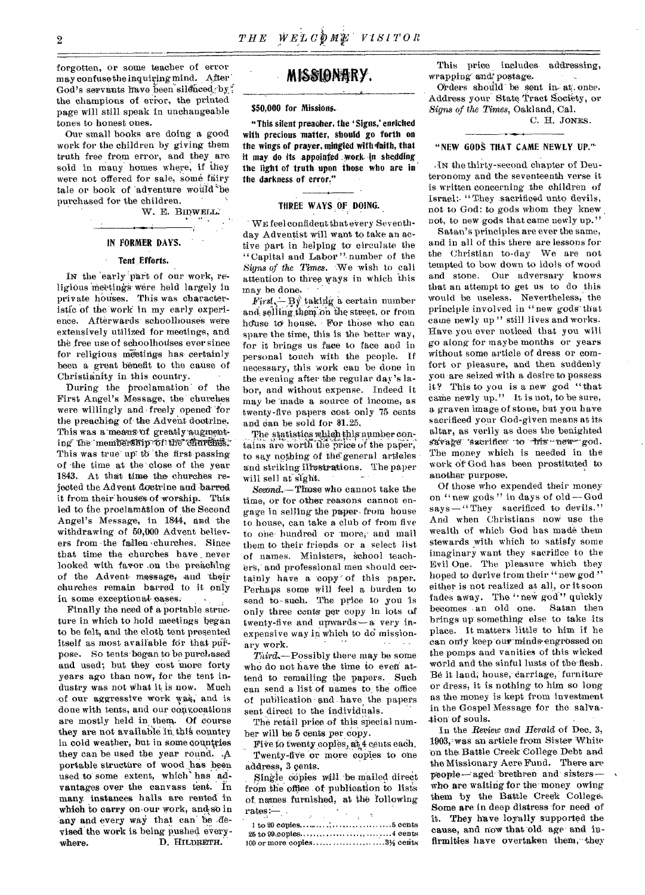forgotten, or some teacher of error may confusethe inquiring mind. After' God's servants have been silenced by: the champions of error, the printed page will still speak in unchangeable tones to honest ones.

Our small books are doing a good work for the children by giving them truth free from error, and they are sold in many homes where, if they were not offered for sale, some fairy tale or book of adventure would be purchased for the children.

W. E. BIDWELL.

## IN PORKER DAYS.

## Tent .Efforts.

IN the 'early 'part of our work, religious meetings were held largely in private houses. This was characteristic of the work in my early experience. Afterwards schoolhouses were extensively utilized for meetings, and the free use of schoolhouses ever since for religious meetings has certainly been a great benefit to the cause of Christianity in this country.

During the proclamatioh of the First Angel's Message, the' churches were willingly and freely opened for the preaching of- the Advent doctrine. This was a means of greatly augmenting the membership of the churches. This was true up to the first passing of •the time at the- close of the year 1843. At that time the churches rejected the Advent doctrine and barred it from their houses of worship. This led to the proclarn&tion of the Second Angel's Message, in 1844, and the withdrawing of 50,000 Advent believers from the fallen -churches. Since that time the churches have never looked with favor on the preaching of the Advent message, and 'their churches remain barred to it only in some exceptional-cases.

Finally the need of a portable structure in which to hold meetings began to be felt, and the cloth tent presented itself as most available for that purpose. So tents began to be purchased and used; but they cost more forty years ago than now, for the tent industry was not what it is now. Much of our aggressive work was, and is done with tents, and our convocations are mostly held in them. Of course they are not available in this country in cold weather, but in some countries they can be used the year round. .A portable structure of wood has been used to some extent, which' has advantages over the canvass tent. in many instances halls are rented in which to carry on our work, and so in any and every way that can be devised the work is being pushed every-<br>where. D. HILDRETH. D. HILDRETH.

# MISSIONARY.

## \$50,000 for Missions.

"This silent preacher, the 'Signs,' enriched with precious matter, should go forth on the wings of prayer, mingled with-faith, that it may do its appointed -work in shedding the light of truth upon those who are in the darkness of error."

## THREE WAYS OF DOING.

WE feel confident that every Seventhday Adventist will want to take an active part in helping to circulate the "Capital and Labor ". number of the *Signs of the Times.* We wish to call attention to three ways in which this may be done.

 $First \rightarrow By' taking a certain number$ and selling them on the street, or from house to house. For those who can spare the time, this is the better way, for it brings us face to face and in personal touch with the people. If necessary, this work can be done in the evening after the regular day's labor, and without expense. Indeed it may be made a source of income, as twenty-five papers cost only 75 cents and can be sold for \$1.25.

The statistics which-this-number contains are worth the price of the paper, to say nothing of the general articles and striking illustrations. The paper will sell at sight.

*Second.—* Those who cannot take the time, or for other reasons cannot engage in selling the paper- from house to house, can take a club of from five to one hundred or more, and mail them to their friends or a select list of names. Ministers, 'school teachers,' and professional men should certainly have a copy of this paper. Perhaps some will feel a burden to send to-such. The price to you is only three cents per copy in lots of twenty-five and upwards-a very inexpensive way in which to do missionary work.

Third.-Possibly there may be some who do not have the time to even attend to remailing the papers. Such can send a list of names to, the office of publication and have the papers sent direet to the individuals.

The retail price-of this special number will be 5 cents per copy.

Five to twenty copies, at 4 cents each. Twenty-five or more copies to one address, 3 cents.

Single copies will be mailed direct from the office of publication to lists of names furnished, at the following rates: $$  $rates:$ 

I to 20 copies.. ; ' cents  $25$  to  $99$  copies  $\dots$ ,  $\dots$ ,  $\dots$ ,  $\dots$ ,  $4$  cents 100 or more copies 8% cents

This price includes addressing, wrapping and postage.

Orders should be sent in-at. once. Address your State Tract Society, or *Signs of the Times,* Oakland, cal.

C. H. JONES.

## "NEW GODS THAT CAME NEWLY UP."

.IN the thirty-second chapter of Deuteronomy and the seventeenth verse it is written concerning the children of Israel:- "They .sacrificed unto devils, not to God: to gods whom they knew . not, to new gods that came newly up."

Satan's principles are ever the same, and in all of this there are lessons for the Christian to-day We are not tempted to bow down to idols of wood and stone. Our adversary knows that an attempt to get us to do this would be useless. Nevertheless, the principle involved in "new gods that came newly up" still lives and works. Have you ever noticed that you will go along for maybe months or years without some article of dress or comfort or pleasure, and then suddenly you are seized with a desire to possess it? This to you is a new god "that came newly up." It is not, to be sure, a graven image of stone, but you have sacrificed your God-given means at its altar, as verily as does the benighted savage sacrifice to his new god. The money which is needed in the work of God has been prostituted to another purpose.

Of those who expended their money on "new gods" in days of old—God says - "They sacrificed to devils." And when Christians now use the wealth of which God has made them stewards with which to satisfy some imaginary want they sacrifice to the Evil One. The pleasure which they hoped to derive from their "new god" either is not realized at all, or it soon fades away. The "new god" quickly becomes an old one. Satan then brings up something else to take its place. It matters little to him if he can only keep our minds engrossed on the pomps and vanities of this wicked world and the sinful lusts of the flesh. Be it land; house, carriage, furniture or dress, it is nothing to him so long as the money is kept from investment in the Gospel Message for the- salvation of souls.

In the Review and Herald of Dee. 3, 1003,: *w a8* an article from Sister White on the Battle Creek College Debt and the Missionary Acre Fund. There are people-aged brethren and sisterswho are waiting for the money owing them by the Battle Creek College. Some are in deep distress for need of it. They have loyally supported the cause, and now that old age and infirmities have overtaken them, they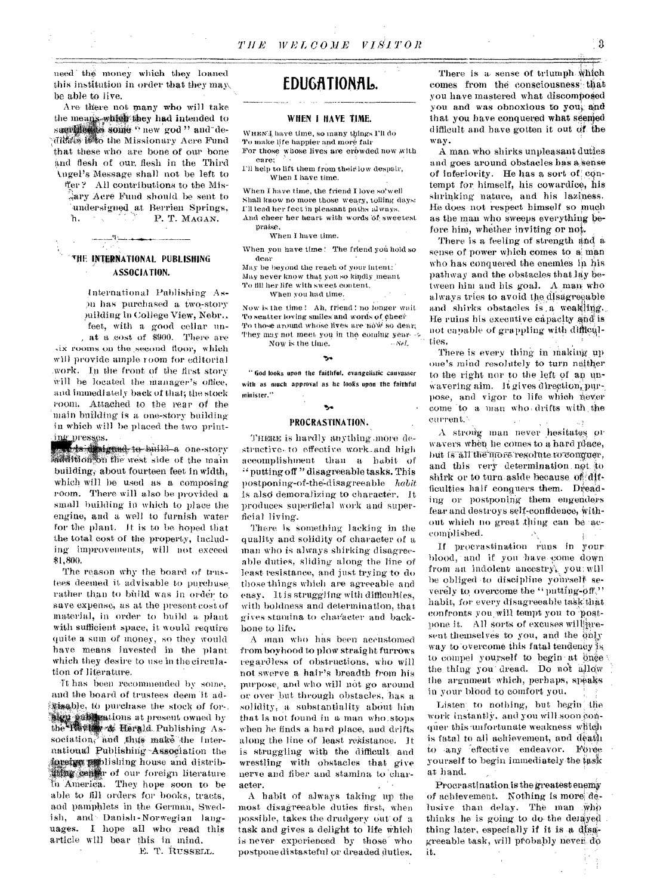need the money which they loaned this institution in order that they may be able to live.

Are there not many who will take the means-which they had intended to samiliers some "new god" and dedidate it to the Missionary Acre Fund that these who are bone of our bone and flesh of our, flesh in the Third k.ngel's Message shall not be left to ffer? All contributions to the Mis- $\lambda$ ary Acre Fund should be sent to 'undersigned at Berrien Springs, h. **P. T. MAGAN.** 

# **111E INTERNATIONAL PUBLISHING ASSOCIATION.**

international Publishing Aspu has purchased a two-story suilding in College View, Nebr., feet, with a good cellar ma- , at a .cost of \$900. There are ,ix rooms on the second floor, which will provide ample room for editorial ,work. In the front of the first story Will he located the manager's office, and immediately back of that; the stock room. Attached to the rear of the 'main building is a one-story building in which will be placed the two printing presses.

the digmed to build a one-story modification the west side of the main building, about fourteen feet in width. which will be used as a composing room. There will also be provided a small building in which to place the engine, and a well to furnish water for the plant. It is to be hoped that the total cost of the property, including improvements, will not exceed \$1,800.

The reason why the hoard of trustees deemed it advisable to purchase. rather than to bbild was in order to save expense, as at the present cost of material, in order to build a plant with sufficient space, it would require quite a sum of money, so they would have means invested in the plant which they desire to use in the circulation of literature.

It has been recommended by some, and the board of trustees deem 'it ad- 'N-1sable, Um purchase the stock of for-. **Aug publications at present owned by** Herald Publishing Association, and thus make the International Publishing Association the foreing  $m$ ) lishing house and distrib-Ating.cerd0 of our foreign literature In America. They hope soon to he able to fill orders for books, tracts, and pamphlets in the German, Swedish, and Danish-Norwegian languages. I hope all who read this article will bear this in mind.

E. T. RUSSELL.

# EDUGATIONAL.

#### **WHEN I HAVE TIME.**

WHEN'4 have time, so many things I'll do To make life happier and more fair For those whose lives are crowded now with care:

I'll help to lift them from'their low despair, When I haVe time.

When I have time, the friend I love so'well Shall know no more those weary, toiling days: I'll lead her feet in pleasant paths always. And cheer her heart with words of sweetest

praise,

When I have time.

When you have time! The friend you hold so dear

May be beyond the reach of your intent: may never know that you so kindly meant To till her life with sweet content,

When you had time.

Now is the time! Ah, friend! no longer wait To scatter loving smiles and words of cheer To those around whose lives are now so dear, They may not meet you in the coming year-  $\sim$ Now is the time. Now is the time.

" God looks upon the faithful, evangelistic canvasser with as much approval as he looks upon the faithful minister."

# $\mathbf{v}_\alpha$

## **PROCRASTINATION.**

THERE is hardly anything more destructive.to effective work-and high accomplishment than a habit of " putting off "disagreeable tasks. This postponing-of-the-disagreeable ha*bit*  is also demoralizing to character. It produces superficial work and; superficial living.

There is something lacking in the quality and solidity of character of a man who is always shirking disagreeable duties, sliding along the line of least resistance, and just trying to do those things which are agreeable and easy. It is struggling with difficulties, with boldness and determination, that gives stamina to character and backbone to life.

A man who has been accustomed from boyhood to plow straight furrows regardless of obstructions, who will not swerve a hair's breadth from his purpose, and who will not go around or over but through obstacles, has a solidity, a substantiality about him that is not found in a man who stops when he finds a hard place, and drifts along the line of least resistance. It is struggling with the difficult\_ and wrestling with obstacles that give nerve and fiber and stamina to 'character.

A habit of always taking up the most disagreeable duties first, when possible, takes the drudgery Out' of a task and gives a delight to life which is never experienced by those who postpone distasteful or dreaded duties.

There is a sense of triumph which comes from the consciousness! that you have mastered what discomposed you and was obnoxious to yoni: and that you have conquered what seemed difficult and have gotten it out Of. the way.

A man, who shirks unpleasant duties and goes around obstacles has a sense of inferiority. He has a sort of contempt for himself, his cowardice, his shrinking nature, and his laziness. He does not respect himself so much as the man who sweeps everything'before him, whether inviting or not.

There is a feeling of strength and a sense of power which comes to a man who has conquered the enemies in his pathway and the obstacles that lay between him and his goal.  $A$  man who always tries to avoid the disagreeable and shirks obstacles is a weaking.<br>He ruins his executive capacity and is not capable of grappling with difficulties.

There is every thing in making up one's mind resolutely to turn neither to the right nor to the left of an unwavering aim. It gives direction, purpose, and vigor to life which never come 'to a man who, drifts with the current.,

A strong man never hesitates or wavers when he comes to a hard place, but is all the more resolute to conguer. and this very determination. net. to shirk or to turn aside because of difficulties half conquers them. Dreading or postponing them engenders fear and destroys self-confidence, without which no great thing can be accomplished.  $\mathcal{N}_1$ 

If procrastination runs in your blood, and if you have come down from an indolent ancestry, you: will be obliged -to discipline yohrself severely to overcome the "putting-off," habit, for every disagreeable taSk:that confronts you will tempt you to -postpone it. All sorts of excuses will aresent themselves to you, and the only way to overcome this fatal tendency is to compel yourself to begin at bine the thing you dread. Do not allow: the argument which, perhaps, speaks in your blood to comfort you.

Listen to nothing, but begin the work instantly, and you will soon quer this unfortunate weakness which is fatal to all achievement, and death to -any 'effective endeavor. FOree yourself to begin immediately the task at hand.

Procrastination is the greatest enemy of achievement. Nothing is more delusive than delay. The man .who thinks he is going to do the delayed thing later, especially if it is a disagreeable task, will probably never do it.